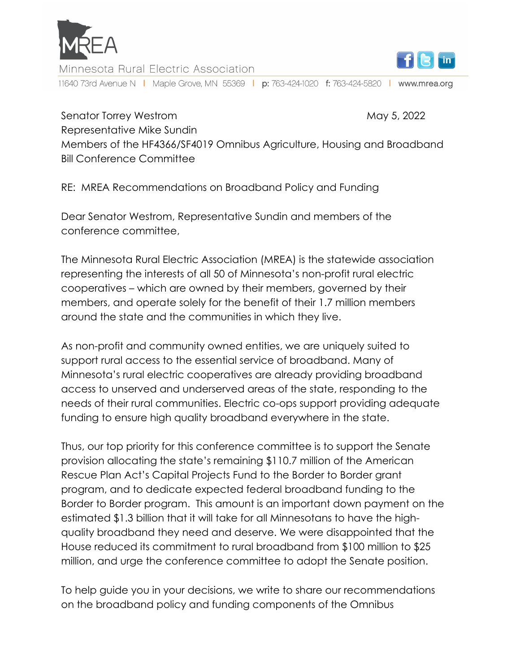

Ainnesota Rural Electric Association 11640 73rd Avenue N | Maple Grove, MN 55369 | p: 763-424-1020 f: 763-424-5820 | www.mrea.org

## Senator Torrey Westrom **May 5, 2022** Representative Mike Sundin

Members of the HF4366/SF4019 Omnibus Agriculture, Housing and Broadband Bill Conference Committee

RE: MREA Recommendations on Broadband Policy and Funding

Dear Senator Westrom, Representative Sundin and members of the conference committee,

The Minnesota Rural Electric Association (MREA) is the statewide association representing the interests of all 50 of Minnesota's non-profit rural electric cooperatives – which are owned by their members, governed by their members, and operate solely for the benefit of their 1.7 million members around the state and the communities in which they live.

As non-profit and community owned entities, we are uniquely suited to support rural access to the essential service of broadband. Many of Minnesota's rural electric cooperatives are already providing broadband access to unserved and underserved areas of the state, responding to the needs of their rural communities. Electric co-ops support providing adequate funding to ensure high quality broadband everywhere in the state.

Thus, our top priority for this conference committee is to support the Senate provision allocating the state's remaining \$110.7 million of the American Rescue Plan Act's Capital Projects Fund to the Border to Border grant program, and to dedicate expected federal broadband funding to the Border to Border program. This amount is an important down payment on the estimated \$1.3 billion that it will take for all Minnesotans to have the highquality broadband they need and deserve. We were disappointed that the House reduced its commitment to rural broadband from \$100 million to \$25 million, and urge the conference committee to adopt the Senate position.

To help guide you in your decisions, we write to share our recommendations on the broadband policy and funding components of the Omnibus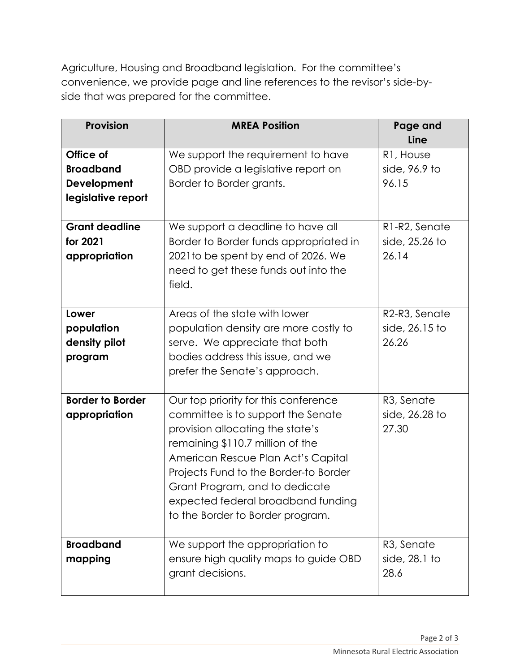Agriculture, Housing and Broadband legislation. For the committee's convenience, we provide page and line references to the revisor's side-byside that was prepared for the committee.

| <b>Provision</b>        | <b>MREA Position</b>                   | Page and                |
|-------------------------|----------------------------------------|-------------------------|
|                         |                                        | Line                    |
| Office of               | We support the requirement to have     | R1, House               |
| <b>Broadband</b>        | OBD provide a legislative report on    | side, 96.9 to           |
| Development             | Border to Border grants.               | 96.15                   |
| legislative report      |                                        |                         |
| <b>Grant deadline</b>   | We support a deadline to have all      | R1-R2, Senate           |
| for 2021                | Border to Border funds appropriated in | side, 25.26 to          |
| appropriation           | 2021 to be spent by end of 2026. We    | 26.14                   |
|                         | need to get these funds out into the   |                         |
|                         | field.                                 |                         |
|                         |                                        |                         |
| Lower                   | Areas of the state with lower          | R2-R3, Senate           |
| population              | population density are more costly to  | side, 26.15 to          |
| density pilot           | serve. We appreciate that both         | 26.26                   |
| program                 | bodies address this issue, and we      |                         |
|                         | prefer the Senate's approach.          |                         |
|                         |                                        |                         |
| <b>Border to Border</b> | Our top priority for this conference   | R <sub>3</sub> , Senate |
| appropriation           | committee is to support the Senate     | side, 26.28 to          |
|                         | provision allocating the state's       | 27.30                   |
|                         | remaining \$110.7 million of the       |                         |
|                         | American Rescue Plan Act's Capital     |                         |
|                         | Projects Fund to the Border-to Border  |                         |
|                         | Grant Program, and to dedicate         |                         |
|                         | expected federal broadband funding     |                         |
|                         | to the Border to Border program.       |                         |
|                         |                                        |                         |
| <b>Broadband</b>        | We support the appropriation to        | R <sub>3</sub> , Senate |
| mapping                 | ensure high quality maps to guide OBD  | side, 28.1 to           |
|                         | grant decisions.                       | 28.6                    |
|                         |                                        |                         |